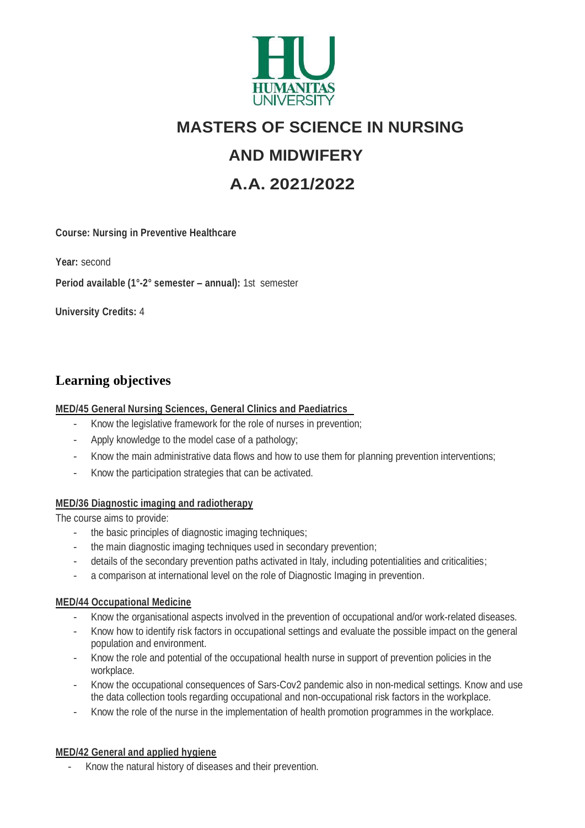

# **MASTERS OF SCIENCE IN NURSING**

# **AND MIDWIFERY**

# **A.A. 2021/2022**

**Course: Nursing in Preventive Healthcare** 

**Year:** second

**Period available (1°-2° semester – annual):** 1st semester

 **University Credits:** 4

## **Learning objectives**

#### **MED/45 General Nursing Sciences, General Clinics and Paediatrics**

- Know the legislative framework for the role of nurses in prevention;
- Apply knowledge to the model case of a pathology;
- Know the main administrative data flows and how to use them for planning prevention interventions;
- Know the participation strategies that can be activated.

#### **MED/36 Diagnostic imaging and radiotherapy**

The course aims to provide:

- the basic principles of diagnostic imaging techniques;
- the main diagnostic imaging techniques used in secondary prevention;
- details of the secondary prevention paths activated in Italy, including potentialities and criticalities;
- a comparison at international level on the role of Diagnostic Imaging in prevention.

#### **MED/44 Occupational Medicine**

- Know the organisational aspects involved in the prevention of occupational and/or work-related diseases.
- Know how to identify risk factors in occupational settings and evaluate the possible impact on the general population and environment.
- Know the role and potential of the occupational health nurse in support of prevention policies in the workplace.
- Know the occupational consequences of Sars-Cov2 pandemic also in non-medical settings. Know and use the data collection tools regarding occupational and non-occupational risk factors in the workplace.
- Know the role of the nurse in the implementation of health promotion programmes in the workplace.

#### **MED/42 General and applied hygiene**

- Know the natural history of diseases and their prevention.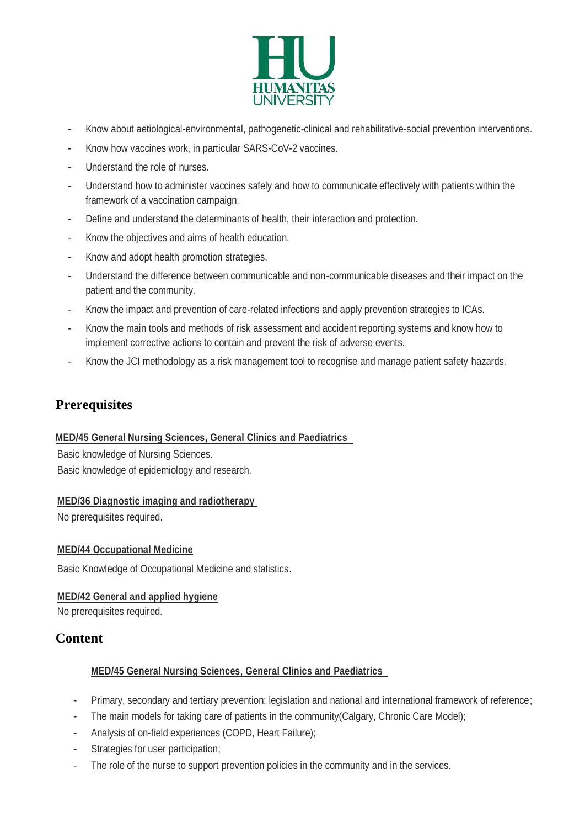

- Know about aetiological-environmental, pathogenetic-clinical and rehabilitative-social prevention interventions.
- Know how vaccines work, in particular SARS-CoV-2 vaccines.
- Understand the role of nurses.
- Understand how to administer vaccines safely and how to communicate effectively with patients within the framework of a vaccination campaign.
- Define and understand the determinants of health, their interaction and protection.
- Know the objectives and aims of health education.
- Know and adopt health promotion strategies.
- Understand the difference between communicable and non-communicable diseases and their impact on the patient and the community.
- Know the impact and prevention of care-related infections and apply prevention strategies to ICAs.
- Know the main tools and methods of risk assessment and accident reporting systems and know how to implement corrective actions to contain and prevent the risk of adverse events.
- Know the JCI methodology as a risk management tool to recognise and manage patient safety hazards.

## **Prerequisites**

#### **MED/45 General Nursing Sciences, General Clinics and Paediatrics**

Basic knowledge of Nursing Sciences. Basic knowledge of epidemiology and research.

#### **MED/36 Diagnostic imaging and radiotherapy**

No prerequisites required.

#### **MED/44 Occupational Medicine**

Basic Knowledge of Occupational Medicine and statistics.

#### **MED/42 General and applied hygiene**

No prerequisites required.

## **Content**

#### **MED/45 General Nursing Sciences, General Clinics and Paediatrics**

- Primary, secondary and tertiary prevention: legislation and national and international framework of reference;
- The main models for taking care of patients in the community(Calgary, Chronic Care Model);
- Analysis of on-field experiences (COPD, Heart Failure);
- Strategies for user participation;
- The role of the nurse to support prevention policies in the community and in the services.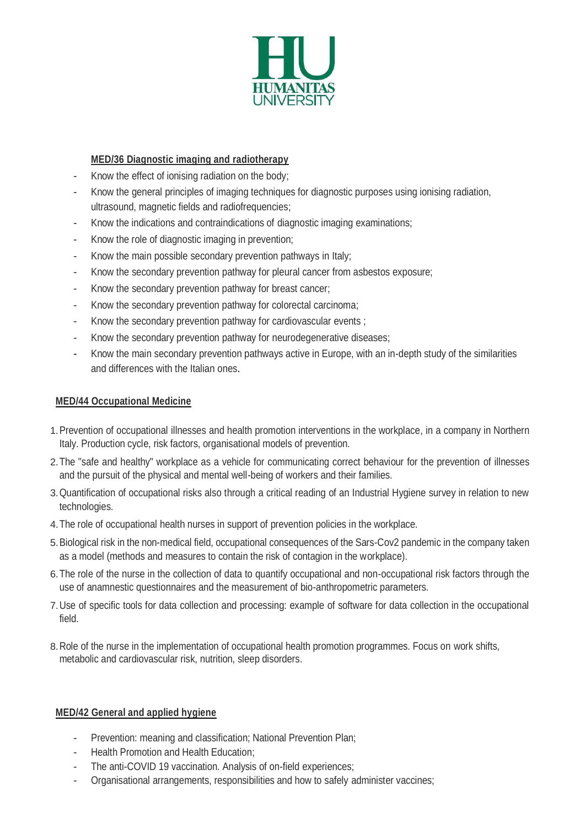

#### **MED/36 Diagnostic imaging and radiotherapy**

- Know the effect of ionising radiation on the body;
- Know the general principles of imaging techniques for diagnostic purposes using ionising radiation, ultrasound, magnetic fields and radiofrequencies;
- Know the indications and contraindications of diagnostic imaging examinations;
- Know the role of diagnostic imaging in prevention;
- Know the main possible secondary prevention pathways in Italy;
- Know the secondary prevention pathway for pleural cancer from asbestos exposure;
- Know the secondary prevention pathway for breast cancer;
- Know the secondary prevention pathway for colorectal carcinoma;
- Know the secondary prevention pathway for cardiovascular events;
- Know the secondary prevention pathway for neurodegenerative diseases;
- Know the main secondary prevention pathways active in Europe, with an in-depth study of the similarities and differences with the Italian ones.

#### **MED/44 Occupational Medicine**

- 1.Prevention of occupational illnesses and health promotion interventions in the workplace, in a company in Northern Italy. Production cycle, risk factors, organisational models of prevention.
- 2.The "safe and healthy" workplace as a vehicle for communicating correct behaviour for the prevention of illnesses and the pursuit of the physical and mental well-being of workers and their families.
- 3.Quantification of occupational risks also through a critical reading of an Industrial Hygiene survey in relation to new technologies.
- 4.The role of occupational health nurses in support of prevention policies in the workplace.
- 5.Biological risk in the non-medical field, occupational consequences of the Sars-Cov2 pandemic in the company taken as a model (methods and measures to contain the risk of contagion in the workplace).
- 6.The role of the nurse in the collection of data to quantify occupational and non-occupational risk factors through the use of anamnestic questionnaires and the measurement of bio-anthropometric parameters.
- 7.Use of specific tools for data collection and processing: example of software for data collection in the occupational field.
- 8.Role of the nurse in the implementation of occupational health promotion programmes. Focus on work shifts, metabolic and cardiovascular risk, nutrition, sleep disorders.

#### **MED/42 General and applied hygiene**

- Prevention: meaning and classification; National Prevention Plan;
- Health Promotion and Health Education;
- The anti-COVID 19 vaccination. Analysis of on-field experiences;
- Organisational arrangements, responsibilities and how to safely administer vaccines;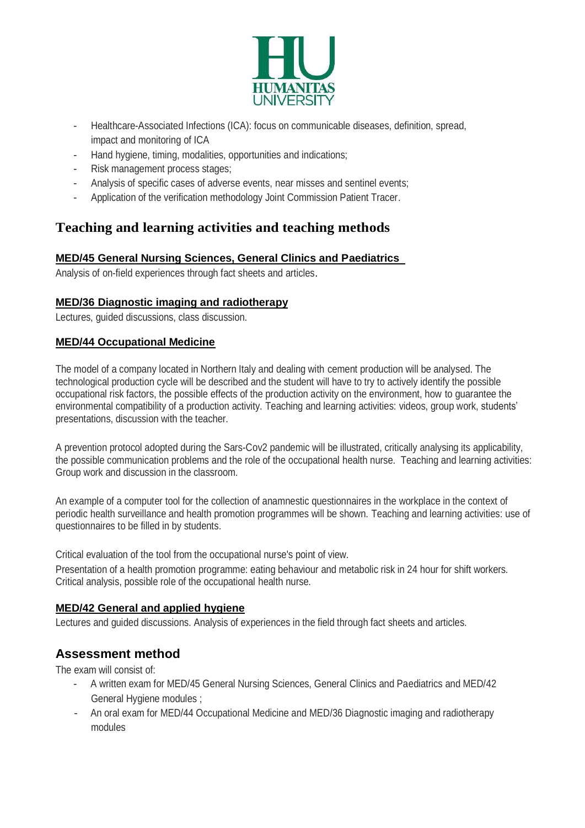

- Healthcare-Associated Infections (ICA): focus on communicable diseases, definition, spread, impact and monitoring of ICA
- Hand hygiene, timing, modalities, opportunities and indications;
- Risk management process stages;
- Analysis of specific cases of adverse events, near misses and sentinel events;
- Application of the verification methodology Joint Commission Patient Tracer.

## **Teaching and learning activities and teaching methods**

#### **MED/45 General Nursing Sciences, General Clinics and Paediatrics**

Analysis of on-field experiences through fact sheets and articles.

#### **MED/36 Diagnostic imaging and radiotherapy**

Lectures, guided discussions, class discussion.

#### **MED/44 Occupational Medicine**

The model of a company located in Northern Italy and dealing with cement production will be analysed. The technological production cycle will be described and the student will have to try to actively identify the possible occupational risk factors, the possible effects of the production activity on the environment, how to guarantee the environmental compatibility of a production activity. Teaching and learning activities: videos, group work, students' presentations, discussion with the teacher.

A prevention protocol adopted during the Sars-Cov2 pandemic will be illustrated, critically analysing its applicability, the possible communication problems and the role of the occupational health nurse. Teaching and learning activities: Group work and discussion in the classroom.

An example of a computer tool for the collection of anamnestic questionnaires in the workplace in the context of periodic health surveillance and health promotion programmes will be shown. Teaching and learning activities: use of questionnaires to be filled in by students.

Critical evaluation of the tool from the occupational nurse's point of view.

Presentation of a health promotion programme: eating behaviour and metabolic risk in 24 hour for shift workers. Critical analysis, possible role of the occupational health nurse.

#### **MED/42 General and applied hygiene**

Lectures and guided discussions. Analysis of experiences in the field through fact sheets and articles.

## **Assessment method**

The exam will consist of:

- A written exam for MED/45 General Nursing Sciences, General Clinics and Paediatrics and MED/42 General Hygiene modules ;
- An oral exam for MED/44 Occupational Medicine and MED/36 Diagnostic imaging and radiotherapy modules